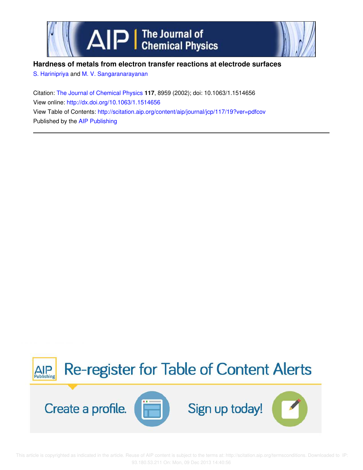



# **Hardness of metals from electron transfer reactions at electrode surfaces**

S. Harinipriya and M. V. Sangaranarayanan

Citation: The Journal of Chemical Physics **117**, 8959 (2002); doi: 10.1063/1.1514656 View online: http://dx.doi.org/10.1063/1.1514656 View Table of Contents: http://scitation.aip.org/content/aip/journal/jcp/117/19?ver=pdfcov Published by the AIP Publishing



 This article is copyrighted as indicated in the article. Reuse of AIP content is subject to the terms at: http://scitation.aip.org/termsconditions. Downloaded to IP: 93.180.53.211 On: Mon, 09 Dec 2013 14:40:56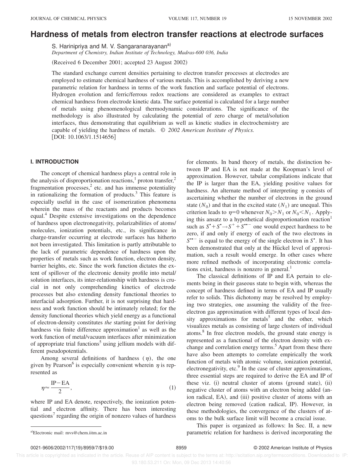# **Hardness of metals from electron transfer reactions at electrode surfaces**

S. Harinipriya and M. V. Sangaranarayanan<sup>a)</sup>

*Department of Chemistry, Indian Institute of Technology, Madras-600 036, India*

(Received 6 December 2001; accepted 23 August 2002)

The standard exchange current densities pertaining to electron transfer processes at electrodes are employed to estimate chemical hardness of various metals. This is accomplished by deriving a new parametric relation for hardness in terms of the work function and surface potential of electrons. Hydrogen evolution and ferric/ferrous redox reactions are considered as examples to extract chemical hardness from electrode kinetic data. The surface potential is calculated for a large number of metals using phenomenological thermodynamic considerations. The significance of the methodology is also illustrated by calculating the potential of zero charge of metal/solution interfaces, thus demonstrating that equilibrium as well as kinetic studies in electrochemistry are capable of yielding the hardness of metals. © *2002 American Institute of Physics.* [DOI: 10.1063/1.1514656]

## **I. INTRODUCTION**

The concept of chemical hardness plays a central role in the analysis of disproportionation reactions,<sup>1</sup> proton transfer,<sup>2</sup> fragmentation processes,<sup>2</sup> etc. and has immense potentiality in rationalizing the formation of products. $3$  This feature is especially useful in the case of isomerization phenomena wherein the mass of the reactants and products becomes equal.<sup>4</sup> Despite extensive investigations on the dependence of hardness upon electronegativity, polarizabilities of atoms/ molecules, ionization potentials, etc., its significance in charge-transfer occurring at electrode surfaces has hitherto not been investigated. This limitation is partly attributable to the lack of parametric dependence of hardness upon the properties of metals such as work function, electron density, barrier heights, etc. Since the work function dictates the extent of spillover of the electronic density profile into metal/ solution interfaces, its inter-relationship with hardness is crucial in not only comprehending kinetics of electrode processes but also extending density functional theories to interfacial adsorption. Further, it is not surprising that hardness and work function should be intimately related; for the density functional theories which yield energy as a functional of electron-density constitutes *the* starting point for deriving hardness via finite difference approximation<sup>1</sup> as well as the work function of metal/vacuum interfaces after minimization of appropriate trial functions<sup>5</sup> using jellium models with different pseudopotentials.

Among several definitions of hardness  $(\eta)$ , the one given by Pearson<sup>6</sup> is especially convenient wherein  $\eta$  is represented as

$$
\eta \approx \frac{\text{IP}-\text{EA}}{2},\tag{1}
$$

where IP and EA denote, respectively, the ionization potential and electron affinity. There has been interesting questions<sup>7</sup> regarding the origin of nonzero values of hardness for elements. In band theory of metals, the distinction between IP and EA is not made at the Koopman's level of approximation. However, tabular compilations indicate that the IP is larger than the EA, yielding positive values for hardness. An alternate method of interpreting  $\eta$  consists of ascertaining whether the number of electrons in the ground state  $(N_0)$  and that in the excited state  $(N_1)$  are unequal. This criterion leads to  $\eta=0$  whenever  $N_0 > N_1$  or  $N_0 < N_1$ . Applying this ansatz to a hypothetical disproportionation reaction<sup>1</sup> such as  $S^* + S^* \rightarrow S^* + S^{**-}$  one would expect hardness to be zero, if and only if energy of each of the two electrons in  $S^{\bullet -}$  is equal to the energy of the single electron in  $S^{\bullet}$ . It has been demonstrated that only at the Hückel level of approximation, such a result would emerge. In other cases where more refined methods of incorporating electronic correlations exist, hardness is nonzero in general. $<sup>1</sup>$ </sup>

The classical definitions of IP and EA pertain to elements being in their gaseous state to begin with, whereas the concept of hardness defined in terms of EA and IP usually refer to solids. This dichotomy may be resolved by employing two strategies, one assuming the validity of the freeelectron gas approximation with different types of local density approximations for metals<sup>5</sup> and the other, which visualizes metals as consisting of large clusters of individual atoms.<sup>8</sup> In free electron models, the ground state energy is represented as a functional of the electron density with exchange and correlation energy terms.<sup>5</sup> Apart from these there have also been attempts to correlate empirically the work function of metals with atomic volume, ionization potential, electronegativity, etc.<sup>9</sup> In the case of cluster approximations, three essential steps are required to derive the EA and IP of these viz. (i) neutral cluster of atoms (ground state), (ii) negative cluster of atoms with an electron being added (anion radical, EA), and (iii) positive cluster of atoms with an electron being removed (cation radical, IP). However, in these methodologies, the convergence of the clusters of atoms to the bulk surface limit will become a crucial issue.

This paper is organized as follows: In Sec. II, a new a)Electronic mail: mvs@chem.iitm.ac.in **a** example **incorporation** parametric relation for hardness is derived incorporating the

0021-9606/2002/117(19)/8959/7/\$19.00 8959 8959 8959 C 2002 American Institute of Physics

 This article is copyrighted as indicated in the article. Reuse of AIP content is subject to the terms at: http://scitation.aip.org/termsconditions. Downloaded to IP: 93.180.53.211 On: Mon, 09 Dec 2013 14:40:56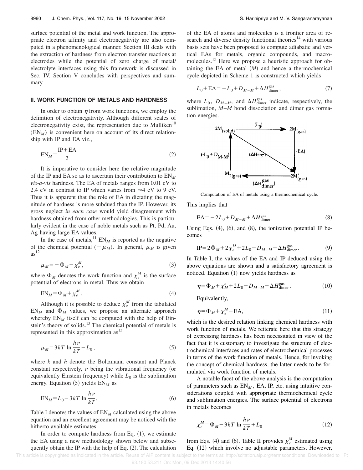surface potential of the metal and work function. The appropriate electron affinity and electronegativity are also computed in a phenomenological manner. Section III deals with the extraction of hardness from electron transfer reactions at electrodes while the potential of zero charge of metal/ electrolyte interfaces using this framework is discussed in Sec. IV. Section V concludes with perspectives and summary.

## **II. WORK FUNCTION OF METALS AND HARDNESS**

In order to obtain  $\eta$  from work functions, we employ the definition of electronegativity. Although different scales of electronegativity exist, the representation due to Mulliken<sup>10</sup>  $(EN_M)$  is convenient here on account of its direct relationship with IP and EA viz.,

$$
EN_M = \frac{IP + EA}{2}.
$$
 (2)

It is imperative to consider here the relative magnitude of the IP and EA so as to ascertain their contribution to EN*<sup>M</sup> vis-a-vis* hardness. The EA of metals ranges from 0.01 eV to 2.4 eV in contrast to IP which varies from  $\approx$  4 eV to 9 eV. Thus it is apparent that the role of EA in dictating the magnitude of hardness is more subdued than the IP. However, its gross neglect *in each case* would yield disagreement with hardness obtained from other methodologies. This is particularly evident in the case of noble metals such as Pt, Pd, Au, Ag having large EA values.

In the case of metals,  ${}^{11}$  EN<sub>*M*</sub> is reported as the negative of the chemical potential  $(-\mu_M)$ . In general,  $\mu_M$  is given  $as<sup>12</sup>$ 

$$
\mu_M = -\Phi_M - \chi_e^M,\tag{3}
$$

where  $\Phi_M$  denotes the work function and  $\chi_e^M$  is the surface potential of electrons in metal. Thus we obtain

$$
EN_M = \Phi_M + \chi_e^M. \tag{4}
$$

Although it is possible to deduce  $\chi_e^M$  from the tabulated  $EN_M$  and  $\Phi_M$  values, we propose an alternate approach whereby  $EN_M$  itself can be computed with the help of Einstein's theory of solids.<sup>13</sup> The chemical potential of metals is represented in this approximation  $as<sup>13</sup>$ 

$$
\mu_M = 3kT \ln \frac{h\nu}{kT} - L_0,
$$
\n<sup>(5)</sup>

where *k* and *h* denote the Boltzmann constant and Planck constant respectively,  $\nu$  being the vibrational frequency (or equivalently Einstein frequency) while  $L_0$  is the sublimation energy. Equation  $(5)$  yields  $EN_M$  as

$$
EN_M = L_0 - 3kT \ln \frac{hv}{kT}.
$$
\n<sup>(6)</sup>

Table I denotes the values of  $EN_M$  calculated using the above equation and an excellent agreement may be noticed with the hitherto available estimates.

In order to compute hardness from Eq.  $(1)$ , we estimate the EA using a new methodology shown below and subsequently obtain the IP with the help of Eq.  $(2)$ . The calculation of the EA of atoms and molecules is a frontier area of research and diverse density functional theories<sup>14</sup> with various basis sets have been proposed to compute adiabatic and vertical EAs for metals, organic compounds, and macromolecules.<sup>15</sup> Here we propose a heuristic approach for obtaining the EA of metal  $(M)$  and hence a thermochemical cycle depicted in Scheme 1 is constructed which yields

$$
L_0 + \text{EA} = -L_0 + D_{M-M} + \Delta H_{\text{dimer}}^{\text{gas}},\tag{7}
$$

where  $L_0$ ,  $D_{M-M}$ , and  $\Delta H_{\text{dimer}}^{\text{gas}}$  indicate, respectively, the sublimation, *M*–*M* bond dissociation and dimer gas formation energies.



Computation of EA of metals using a thermochemical cycle.

This implies that

$$
EA = -2L_0 + D_{M-M} + \Delta H_{\text{dimer}}^{\text{gas}}.
$$
\n(8)

Using Eqs.  $(4)$ ,  $(6)$ , and  $(8)$ , the ionization potential IP becomes

$$
IP = 2\Phi_M + 2\chi_e^M + 2L_0 - D_{M-M} - \Delta H_{\text{dimer}}^{\text{gas}}.
$$
 (9)

In Table I, the values of the EA and IP deduced using the above equations are shown and a satisfactory agreement is noticed. Equation  $(1)$  now yields hardness as

$$
\eta = \Phi_M + \chi_M^e + 2L_0 - D_{M-M} - \Delta H_{\text{dimer}}^{\text{gas}}.
$$
\n(10)

Equivalently,

$$
\eta = \Phi_M + \chi_e^M - \text{EA},\tag{11}
$$

which is the desired relation linking chemical hardness with work function of metals. We reiterate here that this strategy of expressing hardness has been necessitated in view of the fact that it is customary to investigate the structure of electrochemical interfaces and rates of electrochemical processes in terms of the work function of metals. Hence, for invoking the concept of chemical hardness, the latter needs to be formulated via work function of metals.

A notable facet of the above analysis is the computation of parameters such as  $EN_M$ , EA, IP, etc. using intuitive considerations coupled with appropriate thermochemical cycle and sublimation energies. The surface potential of electrons in metals becomes

$$
\chi_e^M = \Phi_M - 3kT \ln \frac{h\nu}{kT} + L_0 \tag{12}
$$

from Eqs. (4) and (6). Table II provides  $\chi_e^M$  estimated using Eq.  $(12)$  which involve no adjustable parameters. However,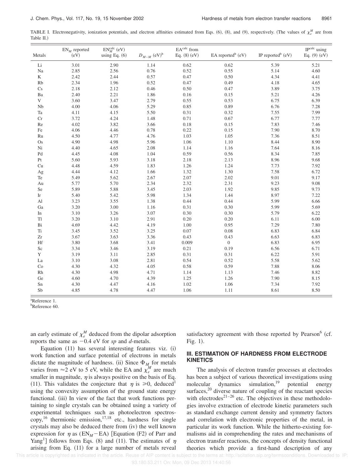TABLE I. Electronegativity, ionization potentials, and electron affinities estimated from Eqs.  $(6)$ ,  $(8)$ , and  $(9)$ , respectively. (The values of  $\chi^M_e$  are from Table II.)

| Metals                     | $EN_M$ reported<br>(eV) | $\mathrm{EN}^{\mathrm{calc}}_{M}$ (eV)<br>using Eq. $(6)$ | $D_{\mathit{M}-\mathit{M}}$ $(\mathrm{eV})^{\mathrm{b}}$ | EAcalc from<br>Eq. $(8)$ $(eV)$ | EA reported <sup>b</sup> (eV) | IP reported <sup>b</sup> (eV) | IP <sup>calc</sup> using<br>Eq. $(9)$ $(eV)$ |
|----------------------------|-------------------------|-----------------------------------------------------------|----------------------------------------------------------|---------------------------------|-------------------------------|-------------------------------|----------------------------------------------|
| Li                         | 3.01                    | 2.90                                                      | 1.14                                                     | 0.62                            | 0.62                          | 5.39                          | 5.21                                         |
| Na                         | 2.85                    | 2.56                                                      | 0.76                                                     | 0.52                            | 0.55                          | 5.14                          | 4.60                                         |
| K                          | 2.42                    | 2.44                                                      | 0.57                                                     | 0.47                            | $0.50\,$                      | 4.34                          | 4.41                                         |
| Rb                         | 2.34                    | 1.96                                                      | 0.52                                                     | 0.47                            | 0.49                          | 4.18                          | 4.65                                         |
| Cs                         | 2.18                    | 2.12                                                      | 0.46                                                     | 0.50                            | 0.47                          | 3.89                          | 3.75                                         |
| Ba                         | 2.40                    | 2.21                                                      | 1.86                                                     | 0.16                            | 0.15                          | 5.21                          | 4.26                                         |
| $\mathbf V$                | 3.60                    | 3.47                                                      | 2.79                                                     | 0.55                            | 0.53                          | 6.75                          | 6.39                                         |
| Nb                         | 4.00                    | 4.06                                                      | 5.29                                                     | 0.85                            | 0.89                          | 6.76                          | 7.28                                         |
| Ta                         | 4.11                    | 4.15                                                      | 5.50                                                     | 0.31                            | 0.32                          | 7.55                          | 7.99                                         |
| Cr                         | 3.72                    | 4.24                                                      | 1.48                                                     | 0.71                            | 0.67                          | 6.77                          | 7.77                                         |
| Re                         | 4.02                    | 3.82                                                      | 3.66                                                     | 0.18                            | 0.15                          | 7.83                          | 7.46                                         |
| Fe                         | 4.06                    | 4.46                                                      | 0.78                                                     | 0.22                            | 0.15                          | 7.90                          | 8.70                                         |
| Ru                         | 4.50                    | 4.77                                                      | 4.76                                                     | 1.03                            | 1.05                          | 7.36                          | 8.51                                         |
| Os                         | 4.90                    | 4.98                                                      | 5.96                                                     | 1.06                            | 1.10                          | 8.44                          | 8.90                                         |
| Ni                         | 4.40                    | 4.65                                                      | 2.08                                                     | 1.14                            | 1.16                          | 7.64                          | 8.16                                         |
| Pd                         | 4.45                    | 4.08                                                      | 1.04                                                     | 0.59                            | 0.56                          | 8.34                          | 7.85                                         |
| $\rm Pt$                   | 5.60                    | 5.93                                                      | 3.18                                                     | 2.18                            | 2.13                          | 8.96                          | 9.68                                         |
| Cu                         | 4.48                    | 4.59                                                      | 1.83                                                     | 1.26                            | 1.24                          | 7.73                          | 7.92                                         |
| Ag                         | 4.44                    | 4.12                                                      | 1.66                                                     | 1.32                            | 1.30                          | 7.58                          | 6.72                                         |
| Te                         | 5.49                    | 5.62                                                      | 2.67                                                     | 2.07                            | 2.02                          | 9.01                          | 9.17                                         |
| Au                         | 5.77                    | 5.70                                                      | 2.34                                                     | 2.32                            | 2.31                          | 9.23                          | 9.08                                         |
| Se                         | 5.89                    | 5.88                                                      | 3.45                                                     | 2.03                            | 1.92                          | 9.85                          | 9.73                                         |
| $\mathop{\rm Ir}\nolimits$ | 5.40                    | 5.42                                                      | 5.98                                                     | 1.34                            | 1.44                          | 8.97                          | 7.22                                         |
| Al                         | 3.23                    | 3.55                                                      | 1.38                                                     | 0.44                            | 0.44                          | 5.99                          | 6.66                                         |
| Ga                         | 3.20                    | 3.00                                                      | 1.16                                                     | 0.31                            | 0.30                          | 5.99                          | 5.69                                         |
| In                         | 3.10                    | 3.26                                                      | 3.07                                                     | 0.30                            | 0.30                          | 5.79                          | 6.22                                         |
| <b>Tl</b>                  | 3.20                    | 3.10                                                      | 2.91                                                     | 0.20                            | 0.20                          | 6.11                          | 6.00                                         |
| Bi                         | 4.69                    | 4.42                                                      | 4.19                                                     | 1.00                            | 0.95                          | 7.29                          | 7.80                                         |
| Ti                         | 3.45                    | 3.52                                                      | 3.25                                                     | 0.07                            | 0.08                          | 6.83                          | 6.84                                         |
| $\rm Zr$                   | 3.67                    | 3.63                                                      | 3.36                                                     | 0.43                            | 0.43                          | 6.63                          | 6.83                                         |
| Hf                         | 3.80                    | 3.68                                                      | 3.41                                                     | 0.009                           | $\boldsymbol{0}$              | 6.83                          | 6.95                                         |
| Sc                         | 3.34                    | 3.46                                                      | 3.19                                                     | 0.21                            | 0.19                          | 6.56                          | 6.71                                         |
| Y                          | 3.19                    | 3.11                                                      | 2.85                                                     | 0.31                            | 0.31                          | 6.22                          | 5.91                                         |
| La                         | 3.10                    | 3.08                                                      | 2.81                                                     | 0.54                            | 0.52                          | 5.58                          | 5.62                                         |
| Co                         | 4.30                    | 4.32                                                      | 4.05                                                     | 0.58                            | 0.59                          | 7.88                          | 8.06                                         |
| Rh                         | 4.30                    | 4.98                                                      | 4.71                                                     | 1.14                            | 1.13                          | 7.46                          | 8.82                                         |
| Ge                         | 4.60                    | 4.70                                                      | 4.39                                                     | 1.25                            | 1.26                          | 7.90                          | 8.15                                         |
| Sn                         | 4.30                    | 4.47                                                      | 4.16                                                     | 1.02                            | 1.06                          | 7.34                          | 7.92                                         |
| Sb                         | 4.85                    | 4.78                                                      | 4.47                                                     | 1.06                            | 1.11                          | 8.61                          | 8.50                                         |

<sup>a</sup>Reference 1.

<sup>b</sup>Reference 60.

an early estimate of  $\chi_e^M$  deduced from the dipolar adsorption reports the same as  $-0.4$  eV for *sp* and *d*-metals.

Equation  $(11)$  has several interesting features viz.  $(i)$ work function and surface potential of electrons in metals dictate the magnitude of hardness. (ii) Since  $\Phi_M$  for metals varies from  $\approx$  2 eV to 5 eV, while the EA and  $\chi_e^M$  are much smaller in magnitude,  $\eta$  is always positive on the basis of Eq. (11). This validates the conjecture that  $\eta$  is  $\geq 0$ , deduced<sup>1</sup> using the convexity assumption of the ground state energy functional. (iii) In view of the fact that work functions pertaining to single crystals can be obtained using a variety of experimental techniques such as photoelectron spectros- $\text{copy},^{16}$  thermionic emission,<sup>17,18</sup> etc., hardness for single crystals may also be deduced there from (iv) the well known expression for  $\eta$  as (EN<sub>M</sub>-EA) [Equation (F2) of Parr and Yang<sup>1</sup>] follows from Eqs. (8) and (11). The estimates of  $\eta$ arising from Eq.  $(11)$  for a large number of metals reveal

satisfactory agreement with those reported by Pearson<sup>6</sup> (cf. Fig.  $1$ ).

## **III. ESTIMATION OF HARDNESS FROM ELECTRODE KINETICS**

The analysis of electron transfer processes at electrodes has been a subject of various theoretical investigations using molecular dynamics simulation, $19$  potential energy surfaces, $2^0$  diverse nature of coupling of the reactant species with electrodes $^{21-26}$  etc. The objectives in these methodologies involve extraction of electrode kinetic parameters such as standard exchange current density and symmetry factors and correlation with electronic properties of the metal, in particular its work function. While the hitherto-existing formalisms aid in comprehending the rates and mechanisms of electron transfer reactions, the concepts of density functional theories which provide a first-hand description of any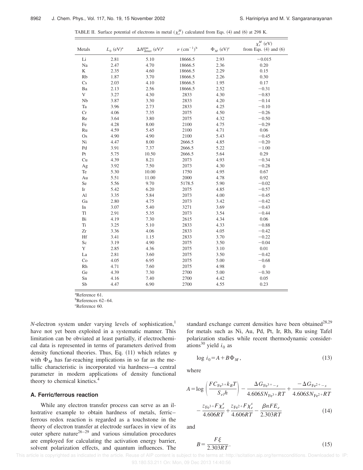TABLE II. Surface potential of electrons in metal  $(\chi_e^M)$  calculated from Eqs. (4) and (6) at 298 K.

|                            |                         |                                                          | $\nu$ (cm <sup>-1</sup> ) <sup>b</sup> |                            | $\chi_e^M$ (eV)           |
|----------------------------|-------------------------|----------------------------------------------------------|----------------------------------------|----------------------------|---------------------------|
| Metals                     | $L_0$ (eV) <sup>a</sup> | $\Delta H_{\text{dimer}}^{\text{gas}}$ (eV) <sup>a</sup> |                                        | $\Phi_M$ (eV) <sup>c</sup> | from Eqs. $(4)$ and $(6)$ |
| $\rm Li$                   | 2.81                    | 5.10                                                     | 18666.5                                | 2.93                       | $-0.015$                  |
| Na                         | 2.47                    | 4.70                                                     | 18666.5                                | 2.36                       | 0.20                      |
| $\rm K$                    | 2.35                    | 4.60                                                     | 18666.5                                | 2.29                       | 0.15                      |
| Rb                         | 1.87                    | 3.70                                                     | 18666.5                                | 2.26                       | 0.30                      |
| Cs                         | 2.03                    | 4.10                                                     | 18666.5                                | 1.95                       | 0.17                      |
| Ba                         | 2.13                    | 2.56                                                     | 18666.5                                | 2.52                       | $-0.31$                   |
| $\mathbf V$                | 3.27                    | 4.30                                                     | 2833                                   | 4.30                       | $-0.83$                   |
| Nb                         | 3.87                    | 3.30                                                     | 2833                                   | 4.20                       | $-0.14$                   |
| Ta                         | 3.96                    | 2.73                                                     | 2833                                   | 4.25                       | $-0.10$                   |
| Cr                         | 4.06                    | 7.35                                                     | 2075                                   | 4.50                       | $-0.26$                   |
| Re                         | 3.64                    | 3.80                                                     | 2075                                   | 4.32                       | $-0.50$                   |
| Fe                         | 4.28                    | 8.00                                                     | 2100                                   | 4.75                       | $-0.29$                   |
| Ru                         | 4.59                    | 5.45                                                     | 2100                                   | 4.71                       | 0.06                      |
| Os                         | 4.90                    | 4.90                                                     | 2100                                   | 5.43                       | $-0.45$                   |
| Ni                         | 4.47                    | 8.00                                                     | 2666.5                                 | 4.85                       | $-0.20$                   |
| Pd                         | 3.91                    | 7.37                                                     | 2666.5                                 | 5.22                       | $-1.00$                   |
| Pt                         | 5.75                    | 10.50                                                    | 2666.5                                 | 5.64                       | 0.29                      |
| Cu                         | 4.39                    | 8.21                                                     | 2073                                   | 4.93                       | $-0.34$                   |
| Ag                         | 3.92                    | 7.50                                                     | 2073                                   | 4.30                       | $-0.28$                   |
| Te                         | 5.30                    | 10.00                                                    | 1750                                   | 4.95                       | 0.67                      |
| Au                         | 5.51                    | 11.00                                                    | 2000                                   | 4.78                       | 0.92                      |
| Se                         | 5.56                    | 9.70                                                     | 5178.5                                 | 5.90                       | $-0.02$                   |
| $\mathop{\rm Ir}\nolimits$ | 5.42                    | 6.20                                                     | 2075                                   | 4.85                       | $-0.57$                   |
| Al                         | 3.35                    | 5.84                                                     | 2073                                   | 4.00                       | $-0.45$                   |
| Ga                         | 2.80                    | 4.75                                                     | 2073                                   | 3.42                       | $-0.42$                   |
| In                         | 3.07                    | 5.40                                                     | 3271                                   | 3.69                       | $-0.43$                   |
| Tl                         | 2.91                    | 5.35                                                     | 2073                                   | 3.54                       | $-0.44$                   |
| Bi                         | 4.19                    | 7.30                                                     | 2615                                   | 4.34                       | 0.06                      |
| Ti                         | 3.25                    | 5.10                                                     | 2833                                   | 4.33                       | $-0.88$                   |
| Zr                         | 3.36                    | 4.06                                                     | 2833                                   | 4.05                       | $-0.42$                   |
| Hf                         | 3.41                    | 1.15                                                     | 2833                                   | 3.70                       | $-0.22$                   |
| Sc                         | 3.19                    | 4.90                                                     | 2075                                   | 3.50                       | $-0.04$                   |
| Y                          | 2.85                    | 4.36                                                     | 2075                                   | 3.10                       | 0.01                      |
| La                         | 2.81                    | 3.60                                                     | 2075                                   | 3.50                       | $-0.42$                   |
| Co                         | 4.05                    | 6.95                                                     | 2075                                   | 5.00                       | $-0.68$                   |
| Rh                         | 4.71                    | 7.60                                                     | 2075                                   | 4.98                       | $\boldsymbol{0}$          |
| Ge                         | 4.39                    | 7.30                                                     | 2700                                   | 5.00                       | $-0.30$                   |
| Sn                         | 4.16                    | 7.40                                                     | 2700                                   | 4.42                       | 0.05                      |
| Sb                         | 4.47                    | 6.90                                                     | 2700                                   | 4.55                       | 0.23                      |
|                            |                         |                                                          |                                        |                            |                           |

<sup>a</sup>Reference 61.

<sup>b</sup>References 62–64.

<sup>c</sup>Reference 60.

*N*-electron system under varying levels of sophistication,<sup>1</sup> have not yet been exploited in a systematic manner. This limitation can be obviated at least partially, if electrochemical data is represented in terms of parameters derived from density functional theories. Thus, Eq. (11) which relates  $\eta$ with  $\Phi_M$  has far-reaching implications in so far as the metallic characteristic is incorporated via hardness—a central parameter in modern applications of density functional theory to chemical kinetics.<sup>4</sup>

### **A. Ferric/ferrous reaction**

While any electron transfer process can serve as an illustrative example to obtain hardness of metals, ferric– ferrous redox reaction is regarded as a touchstone in the theory of electron transfer at electrode surfaces in view of its outer sphere nature<sup>26–29</sup> and various simulation procedures are employed for calculating the activation energy barrier, solvent polarization effects, and quantum influences. The standard exchange current densities have been obtained $^{28,29}$ for metals such as Ni, Au, Pd, Pt, Ir, Rh, Ru using Tafel polarization studies while recent thermodynamic considerations<sup>30</sup> yield  $i_0$  as

$$
\log i_0 = A + B\Phi_M,\tag{13}
$$

where

$$
A = \log \left( \frac{FC_{\text{Fe}^3} + k_B T}{S_{el} h} \right) - \frac{\Delta G_{\text{Fe}^3} +_{-s}}{4.606 S N_{\text{Fe}^3} + R T} + \frac{-\Delta G_{\text{Fe}^2} +_{-s}}{4.606 S N_{\text{Fe}^2} + R T} - \frac{z_{\text{Fe}^3} + F \chi_e^s}{4.606 R T} + \frac{z_{\text{Fe}^2} + F \chi_e^s}{4.606 R T} - \frac{\beta n F E_e}{2.303 R T}
$$
(14)

and

$$
B = \frac{F\xi}{2.303RT}.\tag{15}
$$

 This article is copyrighted as indicated in the article. Reuse of AIP content is subject to the terms at: http://scitation.aip.org/termsconditions. Downloaded to IP: 93.180.53.211 On: Mon, 09 Dec 2013 14:40:56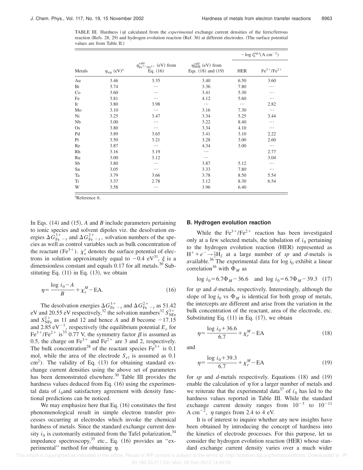TABLE III. Hardness  $(\eta)$  calculated from the *experimental* exchange current densities of the ferric/ferrous reaction  $(Refs. 28, 29)$  and hydrogen evolution reaction  $(Ref. 36)$  at different electrodes. (The surface potential values are from Table II.)

|        | $\eta_{\mathrm{rep}}$ (eV) <sup>a</sup> |                                                                              |                                                                       | $-\log i_0^{\exp t} (A cm^{-2})$ |                   |
|--------|-----------------------------------------|------------------------------------------------------------------------------|-----------------------------------------------------------------------|----------------------------------|-------------------|
| Metals |                                         | $\eta_{\text{Fe}^{3+}/\text{Fe}^{2+}}^{\text{cald}}$ (eV) from<br>Eq. $(16)$ | $\eta_{\text{HER}}^{\text{cald}}$ (eV) from<br>Eqs. $(18)$ and $(19)$ | <b>HER</b>                       | $Fe^{3+}/Fe^{2+}$ |
| Au     | 3.46                                    | 3.35                                                                         | 3.40                                                                  | 6.50                             | 3.60              |
| Bi     | 3.74                                    |                                                                              | 3.36                                                                  | 7.80                             | $\cdots$          |
| Co     | 3.60                                    |                                                                              | 3.41                                                                  | 5.30                             | .                 |
| Fe     | 3.81                                    |                                                                              | 4.12                                                                  | 5.60                             | $\cdots$          |
| Ir     | 3.80                                    | 3.98                                                                         | $\cdots$                                                              | $\cdots$                         | 2.82              |
| Mo     | 3.10                                    | $\cdots$                                                                     | 3.16                                                                  | 7.30                             | $\cdots$          |
| Ni     | 3.25                                    | 3.47                                                                         | 3.34                                                                  | 5.25                             | 3.44              |
| Nb     | 3.00                                    | .                                                                            | 3.22                                                                  | 8.40                             | $\cdots$          |
| Os     | 3.80                                    | $\cdots$                                                                     | 3.34                                                                  | 4.10                             | $\cdots$          |
| Pd     | 3.89                                    | 3.65                                                                         | 3.41                                                                  | 3.10                             | 2.22              |
| Pt     | 3.50                                    | 3.21                                                                         | 3.28                                                                  | 3.00                             | 2.60              |
| Re     | 3.87                                    | $\cdots$                                                                     | 4.34                                                                  | 3.00                             | $\cdots$          |
| Rh     | 3.16                                    | 3.19                                                                         | .                                                                     |                                  | 2.77              |
| Ru     | 3.00                                    | 3.12                                                                         |                                                                       |                                  | 3.04              |
| Sb     | 3.80                                    | .                                                                            | 3.87                                                                  | 5.12                             | $\cdots$          |
| Sn     | 3.05                                    |                                                                              | 3.33                                                                  | 7.80                             | $\cdots$          |
| Ta     | 3.79                                    | 3.66                                                                         | 3.78                                                                  | 8.50                             | 5.54              |
| Ti     | 3.37                                    | 2.78                                                                         | 3.12                                                                  | 8.30                             | 6.54              |
| W      | 3.58                                    |                                                                              | 3.96                                                                  | 6.40                             |                   |

<sup>a</sup>Reference 6.

In Eqs.  $(14)$  and  $(15)$ , *A* and *B* include parameters pertaining to ionic species and solvent dipoles viz. the desolvation energies  $\Delta G_{\text{Fe}}^{3+}$  – s and  $\Delta G_{\text{Fe}}^{2+}$  – s, solvation numbers of the species as well as control variables such as bulk concentration of the reactant (Fe<sup>3+</sup>).  $\chi_e^s$  denotes the surface potential of electrons in solution approximately equal to  $-0.4$  eV<sup>31</sup>,  $\xi$  is a dimensionless constant and equals  $0.17$  for all metals.<sup>30</sup> Substituting Eq.  $(11)$  in Eq.  $(13)$ , we obtain

$$
\eta = \frac{\log i_0 - A}{B} + \chi_e^M - \text{EA.}
$$
\n(16)

The desolvation energies  $\Delta G_{\text{Fe}}^{3+}$  and  $\Delta G_{\text{Fe}}^{2+}$  as 51.42 eV and 20.55 eV respectively,<sup>32</sup> the solvation numbers<sup>32</sup>  $S_{\text{NFe}}^{3+}$ and  $S_{\text{NFe}}^{2+}$  as 11 and 12 and hence *A* and *B* become -17.15 and 2.85  $eV^{-1}$ , respectively (the equilibrium potential  $E_e$  for Fe<sup>3+</sup>/Fe<sup>2+</sup> is<sup>33</sup> 0.77 V, the symmetry factor  $\beta$  is assumed as 0.5, the charge on  $\text{Fe}^{3+}$  and  $\text{Fe}^{2+}$  are 3 and 2, respectively. The bulk concentration<sup>28</sup> of the reactant species  $Fe<sup>3+</sup>$  is 0.1 mol, while the area of the electrode *Sel* is assumed as 0.1  $\text{cm}^2$ ). The validity of Eq. (13) for obtaining standard exchange current densities using the above set of parameters has been demonstrated elsewhere.<sup>30</sup> Table III provides the hardness values deduced from Eq.  $(16)$  using the experimental data of  $i_0$ and satisfactory agreement with density functional predictions can be noticed.

We may emphasize here that Eq.  $(16)$  constitutes the first phenomenological result in simple electron transfer processes occurring at electrodes which invoke the chemical hardness of metals. Since the standard exchange current density  $i_0$  is customarily estimated from the Tafel polarization,<sup>34</sup> impedance spectroscopy,  $35$  etc., Eq. (16) provides an "experimental'' method for obtaining  $\eta$ .

#### **B. Hydrogen evolution reaction**

While the  $Fe^{3+}/Fe^{2+}$  reaction has been investigated only at a few selected metals, the tabulation of  $i_0$  pertaining to the hydrogen evolution reaction (HER) represented as  $H^+ + e^- \rightarrow \frac{1}{2}H_2$  at a large number of *sp* and *d*-metals is available.<sup>36</sup> The experimental data for  $\log i_0$  exhibit a linear correlation<sup>36</sup> with  $\Phi_M$  as

$$
\log i_0 = 6.7 \Phi_M - 36.6 \quad \text{and } \log i_0 = 6.7 \Phi_M - 39.3 \quad (17)
$$

for *sp* and *d*-metals, respectively. Interestingly, although the slope of log  $i_0$  vs  $\Phi_M$  is identical for both group of metals, the intercepts are different and arise from the variation in the bulk concentration of the reactant, area of the electrode, etc. Substituting Eq.  $(11)$  in Eq.  $(17)$ , we obtain

$$
\eta = \frac{\log i_0 + 36.6}{6.7} + \chi_e^M - \text{EA}
$$
\n(18)

and

$$
\eta = \frac{\log i_0 + 39.3}{6.7} + \chi_e^M - \text{EA} \tag{19}
$$

for *sp* and *d*-metals respectively. Equations  $(18)$  and  $(19)$ enable the calculation of  $\eta$  for a larger number of metals and we reiterate that the experimental data<sup>37</sup> of  $i_0$  has led to the hardness values reported in Table III. While the standard exchange current density ranges from  $10^{-3}$  to  $10^{-11}$ A cm<sup>-2</sup>,  $\eta$  ranges from 2.4 to 4 eV.

It is of interest to inquire whether any new insights have been obtained by introducing the concept of hardness into the kinetics of electrode processes. For this purpose, let us consider the hydrogen evolution reaction (HER) whose standard exchange current density varies over a much wider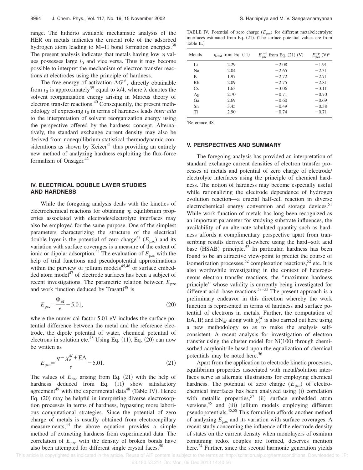range. The hitherto available mechanistic analysis of the HER on metals indicates the crucial role of the adsorbed hydrogen atom leading to  $M-H$  bond formation energies.<sup>38</sup> The present analysis indicates that metals having low  $\eta$  values possesses large  $i_0$  and vice versa. Thus it may become possible to interpret the mechanism of electron transfer reactions at electrodes using the principle of hardness.

The free energy of activation  $\Delta G^{\neq}$ , directly obtainable from  $i_0$  is approximately<sup>39</sup> equal to  $\lambda/4$ , where  $\lambda$  denotes the solvent reorganization energy arising in Marcus theory of electron transfer reactions.<sup>40</sup> Consequently, the present methodology of expressing *i*<sup>0</sup> in terms of hardness leads *inter alia* to the interpretation of solvent reorganization energy using the perspective offered by the hardness concept. Alternatively, the standard exchange current density may also be derived from nonequilibrium statistical thermodynamic considerations as shown by Keizer $41$  thus providing an entirely new method of analyzing hardness exploiting the flux-force formalism of Onsager. $42$ 

## **IV. ELECTRICAL DOUBLE LAYER STUDIES AND HARDNESS**

While the foregoing analysis deals with the kinetics of electrochemical reactions for obtaining  $\eta$ , equilibrium properties associated with electrode/electrolyte interfaces may also be employed for the same purpose. One of the simplest parameters characterizing the structure of the electrical double layer is the potential of zero charge<sup>43</sup> ( $E_{\text{pzc}}$ ) and its variation with surface coverages is a measure of the extent of ionic or dipolar adsorption.<sup>44</sup> The evaluation of  $E_{\text{pzc}}$  with the help of trial functions and pseudopotential approximations within the purview of jellium models $45,46$  or surface embedded atom model $^{47}$  of electrode surfaces has been a subject of recent investigations. The parametric relation between  $E_{\text{pzc}}$ and work function deduced by  $Transatti^{48}$  is

$$
E_{\rm{pzc}} = \frac{\Phi_M}{e} - 5.01,\tag{20}
$$

where the numerical factor 5.01 eV includes the surface potential difference between the metal and the reference electrode, the dipole potential of water, chemical potential of electrons in solution etc.<sup>48</sup> Using Eq.  $(11)$ , Eq.  $(20)$  can now be written as

$$
E_{\text{pzc}} = \frac{\eta - \chi_e^M + \text{EA}}{e} - 5.01. \tag{21}
$$

The values of  $E_{\text{pzc}}$  arising from Eq. (21) with the help of hardness deduced from Eq. (11) show satisfactory agreement<sup>49</sup> with the experimental data<sup>48</sup> (Table IV). Hence Eq.  $(20)$  may be helpful in interpreting diverse electrosorption processes in terms of hardness, bypassing more laborious computational strategies. Since the potential of zero charge of metals is usually obtained from electrocapillary measurements,<sup>44</sup> the above equation provides a simple method of extracting hardness from experimental data. The correlation of  $E_{\text{pzc}}$  with the density of broken bonds have also been attempted for different single crystal faces. $50$ 

TABLE IV. Potential of zero charge  $(E_{pzc})$  for different metal/electrolyte interfaces estimated from Eq. (21). (The surface potential values are from Table II.)

| Metals         | $\eta_{\text{cald}}$ from Eq. (11) | $E_{\text{pzc}}^{\text{cald}}$ from Eq. (21) (V) | $E_{\text{pzc}}^{\text{rep}}$ (V) <sup>a</sup> |
|----------------|------------------------------------|--------------------------------------------------|------------------------------------------------|
| Li             | 2.29                               | $-2.08$                                          | $-1.91$                                        |
| N <sub>a</sub> | 2.04                               | $-2.65$                                          | $-2.31$                                        |
| K              | 1.97                               | $-2.72$                                          | $-2.71$                                        |
| Rh             | 2.09                               | $-2.75$                                          | $-2.81$                                        |
| Cs             | 1.63                               | $-3.06$                                          | $-3.11$                                        |
| Ag             | 2.70                               | $-0.71$                                          | $-0.70$                                        |
| Ga             | 2.69                               | $-0.60$                                          | $-0.69$                                        |
| Sn             | 3.45                               | $-0.49$                                          | $-0.38$                                        |
| TI             | 2.90                               | $-0.74$                                          | $-0.71$                                        |
|                |                                    |                                                  |                                                |

<sup>a</sup>Reference 48.

#### **V. PERSPECTIVES AND SUMMARY**

The foregoing analysis has provided an interpretation of standard exchange current densities of electron transfer processes at metals and potential of zero charge of electrode/ electrolyte interfaces using the principle of chemical hardness. The notion of hardness may become especially useful while rationalizing the electrode dependence of hydrogen evolution reaction—a crucial half-cell reaction in diverse electrochemical energy conversion and storage devices.<sup>51</sup> While work function of metals has long been recognized as an important parameter for studying substrate influences, the availability of an alternate tabulated quantity such as hardness affords a complimentary perspective apart from transcribing results derived elsewhere using the hard–soft acid base  $(HSAB)$  principle.<sup>52</sup> In particular, hardness has been found to be an attractive view-point to predict the course of isomerization processes,<sup>52</sup> complexation reactions,<sup>52</sup> etc. It is also worthwhile investigating in the context of heterogeneous electron transfer reactions, the ''maximum hardness principle'' whose validity is currently being investigated for different acid–base reactions.<sup>53–55</sup> The present approach is a preliminary endeavor in this direction whereby the work function is represented in terms of hardness and surface potential of electrons in metals. Further, the computation of EA, IP, and  $EN_M$  along with  $\chi_e^M$  is also carried out here using a new methodology so as to make the analysis selfconsistent. A recent analysis for investigation of electron transfer using the cluster model for  $Ni(100)$  through chemisorbed acrylonitrile based upon the equalization of chemical potentials may be noted here.<sup>56</sup>

Apart from the application to electrode kinetic processes, equilibrium properties associated with metal/solution interfaces serve as alternate illustrations for employing chemical hardness. The potential of zero charge  $(E_{\text{pzc}})$  of electrochemical interfaces has been analyzed using (i) correlation with metallic properties,  $57$  (ii) surface embedded atom versions, $45$  and  $(iii)$  jellium models employing different pseudopotentials.45,58 This formalism affords another method of analyzing  $E_{\text{pzc}}$  and its variation with surface coverages. A recent study concerning the influence of the electrode density of states on the current density when monolayers of osmium containing redox couples are formed, deserves mention here.<sup>24</sup> Further, since the second harmonic generation yields